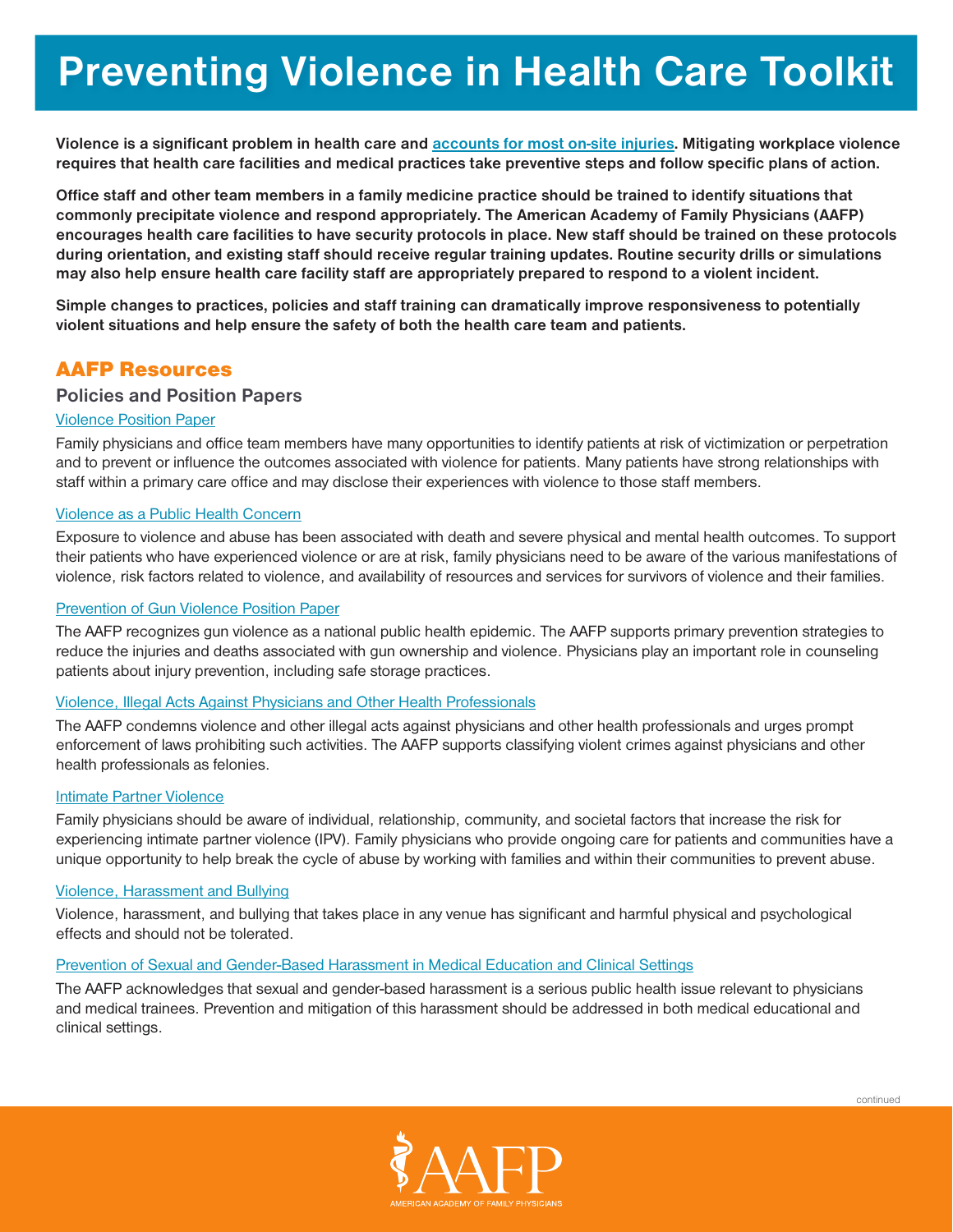**Violence is a significant problem in health care and [accounts for most on-site injuries](https://www.bls.gov/iif/oshwc/cfoi/workplace-violence-healthcare-2018.htm). Mitigating workplace violence requires that health care facilities and medical practices take preventive steps and follow specific plans of action.**

**Office staff and other team members in a family medicine practice should be trained to identify situations that commonly precipitate violence and respond appropriately. The American Academy of Family Physicians (AAFP) encourages health care facilities to have security protocols in place. New staff should be trained on these protocols during orientation, and existing staff should receive regular training updates. Routine security drills or simulations may also help ensure health care facility staff are appropriately prepared to respond to a violent incident.** 

**Simple changes to practices, policies and staff training can dramatically improve responsiveness to potentially violent situations and help ensure the safety of both the health care team and patients.**

# AAFP Resources

# **Policies and Position Papers**

# [Violence Position Paper](https://www.aafp.org/about/policies/all/violence-position-paper.html)

Family physicians and office team members have many opportunities to identify patients at risk of victimization or perpetration and to prevent or influence the outcomes associated with violence for patients. Many patients have strong relationships with staff within a primary care office and may disclose their experiences with violence to those staff members.

# [Violence as a Public Health Concern](https://www.aafp.org/about/policies/all/violence-public-health-concern.html)

Exposure to violence and abuse has been associated with death and severe physical and mental health outcomes. To support their patients who have experienced violence or are at risk, family physicians need to be aware of the various manifestations of violence, risk factors related to violence, and availability of resources and services for survivors of violence and their families.

# [Prevention of Gun Violence Position Paper](https://www.aafp.org/about/policies/all/gun-violence.html)

The AAFP recognizes gun violence as a national public health epidemic. The AAFP supports primary prevention strategies to reduce the injuries and deaths associated with gun ownership and violence. Physicians play an important role in counseling patients about injury prevention, including safe storage practices.

# [Violence, Illegal Acts Against Physicians and Other Health Professionals](https://www.aafp.org/about/policies/all/violence-illegal-acts.html)

The AAFP condemns violence and other illegal acts against physicians and other health professionals and urges prompt enforcement of laws prohibiting such activities. The AAFP supports classifying violent crimes against physicians and other health professionals as felonies.

# [Intimate Partner Violence](https://www.aafp.org/about/policies/all/intimate-partner-violence.html)

Family physicians should be aware of individual, relationship, community, and societal factors that increase the risk for experiencing intimate partner violence (IPV). Family physicians who provide ongoing care for patients and communities have a unique opportunity to help break the cycle of abuse by working with families and within their communities to prevent abuse.

# [Violence, Harassment and Bullying](https://www.aafp.org/about/policies/all/violence-harassment-school-bullying.html)

Violence, harassment, and bullying that takes place in any venue has significant and harmful physical and psychological effects and should not be tolerated.

# [Prevention of Sexual and Gender-Based Harassment in Medical Education and Clinical Settings](https://www.aafp.org/about/policies/all/prevention-gender-basedharassment.html)

The AAFP acknowledges that sexual and gender-based harassment is a serious public health issue relevant to physicians and medical trainees. Prevention and mitigation of this harassment should be addressed in both medical educational and clinical settings.